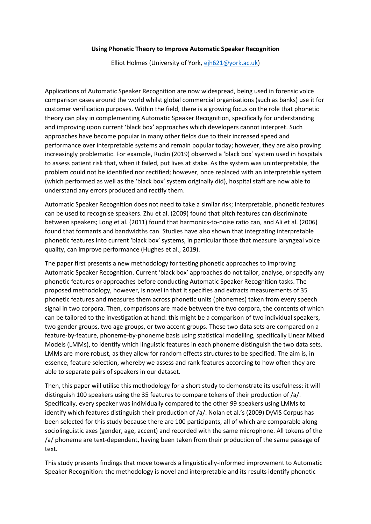## **Using Phonetic Theory to Improve Automatic Speaker Recognition**

Elliot Holmes (University of York, [ejh621@york.ac.uk\)](mailto:ejh621@york.ac.uk)

Applications of Automatic Speaker Recognition are now widespread, being used in forensic voice comparison cases around the world whilst global commercial organisations (such as banks) use it for customer verification purposes. Within the field, there is a growing focus on the role that phonetic theory can play in complementing Automatic Speaker Recognition, specifically for understanding and improving upon current 'black box' approaches which developers cannot interpret. Such approaches have become popular in many other fields due to their increased speed and performance over interpretable systems and remain popular today; however, they are also proving increasingly problematic. For example, Rudin (2019) observed a 'black box' system used in hospitals to assess patient risk that, when it failed, put lives at stake. As the system was uninterpretable, the problem could not be identified nor rectified; however, once replaced with an interpretable system (which performed as well as the 'black box' system originally did), hospital staff are now able to understand any errors produced and rectify them.

Automatic Speaker Recognition does not need to take a similar risk; interpretable, phonetic features can be used to recognise speakers. Zhu et al. (2009) found that pitch features can discriminate between speakers; Long et al. (2011) found that harmonics-to-noise ratio can, and Ali et al. (2006) found that formants and bandwidths can. Studies have also shown that integrating interpretable phonetic features into current 'black box' systems, in particular those that measure laryngeal voice quality, can improve performance (Hughes et al., 2019).

The paper first presents a new methodology for testing phonetic approaches to improving Automatic Speaker Recognition. Current 'black box' approaches do not tailor, analyse, or specify any phonetic features or approaches before conducting Automatic Speaker Recognition tasks. The proposed methodology, however, is novel in that it specifies and extracts measurements of 35 phonetic features and measures them across phonetic units (phonemes) taken from every speech signal in two corpora. Then, comparisons are made between the two corpora, the contents of which can be tailored to the investigation at hand: this might be a comparison of two individual speakers, two gender groups, two age groups, or two accent groups. These two data sets are compared on a feature-by-feature, phoneme-by-phoneme basis using statistical modelling, specifically Linear Mixed Models (LMMs), to identify which linguistic features in each phoneme distinguish the two data sets. LMMs are more robust, as they allow for random effects structures to be specified. The aim is, in essence, feature selection, whereby we assess and rank features according to how often they are able to separate pairs of speakers in our dataset.

Then, this paper will utilise this methodology for a short study to demonstrate its usefulness: it will distinguish 100 speakers using the 35 features to compare tokens of their production of /a/. Specifically, every speaker was individually compared to the other 99 speakers using LMMs to identify which features distinguish their production of /a/. Nolan et al.'s (2009) DyViS Corpus has been selected for this study because there are 100 participants, all of which are comparable along sociolinguistic axes (gender, age, accent) and recorded with the same microphone. All tokens of the /a/ phoneme are text-dependent, having been taken from their production of the same passage of text.

This study presents findings that move towards a linguistically-informed improvement to Automatic Speaker Recognition: the methodology is novel and interpretable and its results identify phonetic